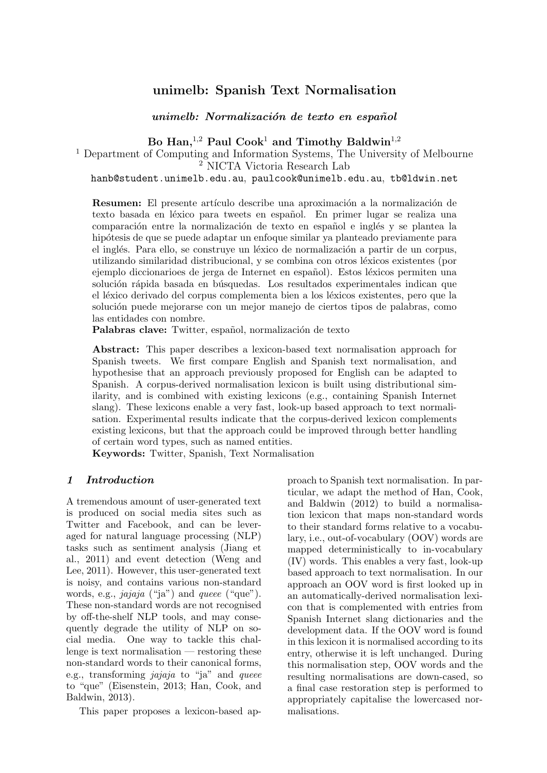# **unimelb: Spanish Text Normalisation**

*unimelb: Normalizaci´on de texto en espa˜nol*

**Bo Han,**<sup>1</sup>*,*<sup>2</sup> **Paul Cook**<sup>1</sup> **and Timothy Baldwin**<sup>1</sup>*,*<sup>2</sup>

<sup>1</sup> Department of Computing and Information Systems, The University of Melbourne <sup>2</sup> NICTA Victoria Research Lab

hanb@student.unimelb.edu.au, paulcook@unimelb.edu.au, tb@ldwin.net

**Resumen:** El presente artículo describe una aproximación a la normalización de texto basada en léxico para tweets en español. En primer lugar se realiza una comparación entre la normalización de texto en español e inglés y se plantea la hipótesis de que se puede adaptar un enfoque similar ya planteado previamente para el inglés. Para ello, se construye un léxico de normalización a partir de un corpus, utilizando similaridad distribucional, y se combina con otros l´exicos existentes (por ejemplo diccionarioes de jerga de Internet en español). Estos léxicos permiten una solución rápida basada en búsquedas. Los resultados experimentales indican que el léxico derivado del corpus complementa bien a los léxicos existentes, pero que la solución puede mejorarse con un mejor manejo de ciertos tipos de palabras, como las entidades con nombre.

Palabras clave: Twitter, español, normalización de texto

**Abstract:** This paper describes a lexicon-based text normalisation approach for Spanish tweets. We first compare English and Spanish text normalisation, and hypothesise that an approach previously proposed for English can be adapted to Spanish. A corpus-derived normalisation lexicon is built using distributional similarity, and is combined with existing lexicons (e.g., containing Spanish Internet slang). These lexicons enable a very fast, look-up based approach to text normalisation. Experimental results indicate that the corpus-derived lexicon complements existing lexicons, but that the approach could be improved through better handling of certain word types, such as named entities.

**Keywords:** Twitter, Spanish, Text Normalisation

#### *1 Introduction*

A tremendous amount of user-generated text is produced on social media sites such as Twitter and Facebook, and can be leveraged for natural language processing (NLP) tasks such as sentiment analysis (Jiang et al., 2011) and event detection (Weng and Lee, 2011). However, this user-generated text is noisy, and contains various non-standard words, e.g., *jajaja* ("ja") and *queee* ("que"). These non-standard words are not recognised by off-the-shelf NLP tools, and may consequently degrade the utility of NLP on social media. One way to tackle this challenge is text normalisation — restoring these non-standard words to their canonical forms, e.g., transforming *jajaja* to "ja" and *queee* to "que" (Eisenstein, 2013; Han, Cook, and Baldwin, 2013).

This paper proposes a lexicon-based ap-

proach to Spanish text normalisation. In particular, we adapt the method of Han, Cook, and Baldwin (2012) to build a normalisation lexicon that maps non-standard words to their standard forms relative to a vocabulary, i.e., out-of-vocabulary (OOV) words are mapped deterministically to in-vocabulary (IV) words. This enables a very fast, look-up based approach to text normalisation. In our approach an OOV word is first looked up in an automatically-derived normalisation lexicon that is complemented with entries from Spanish Internet slang dictionaries and the development data. If the OOV word is found in this lexicon it is normalised according to its entry, otherwise it is left unchanged. During this normalisation step, OOV words and the resulting normalisations are down-cased, so a final case restoration step is performed to appropriately capitalise the lowercased normalisations.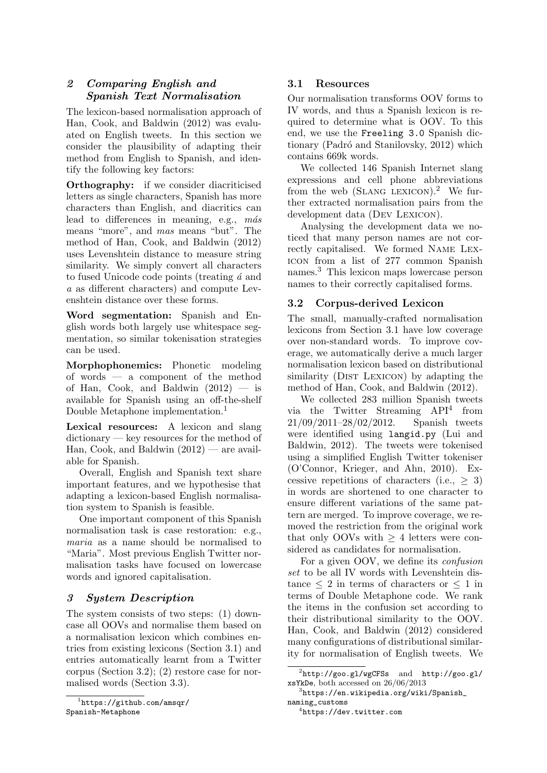## *2 Comparing English and Spanish Text Normalisation*

The lexicon-based normalisation approach of Han, Cook, and Baldwin (2012) was evaluated on English tweets. In this section we consider the plausibility of adapting their method from English to Spanish, and identify the following key factors:

**Orthography:** if we consider diacriticised letters as single characters, Spanish has more characters than English, and diacritics can lead to differences in meaning, e.g., *m´as* means "more", and *mas* means "but". The method of Han, Cook, and Baldwin (2012) uses Levenshtein distance to measure string similarity. We simply convert all characters to fused Unicode code points (treating *´a* and *a* as different characters) and compute Levenshtein distance over these forms.

**Word segmentation:** Spanish and English words both largely use whitespace segmentation, so similar tokenisation strategies can be used.

**Morphophonemics:** Phonetic modeling of words — a component of the method of Han, Cook, and Baldwin  $(2012)$  — is available for Spanish using an off-the-shelf Double Metaphone implementation.<sup>1</sup>

**Lexical resources:** A lexicon and slang dictionary — key resources for the method of Han, Cook, and Baldwin  $(2012)$  — are available for Spanish.

Overall, English and Spanish text share important features, and we hypothesise that adapting a lexicon-based English normalisation system to Spanish is feasible.

One important component of this Spanish normalisation task is case restoration: e.g., *maria* as a name should be normalised to "Maria". Most previous English Twitter normalisation tasks have focused on lowercase words and ignored capitalisation.

## *3 System Description*

The system consists of two steps: (1) downcase all OOVs and normalise them based on a normalisation lexicon which combines entries from existing lexicons (Section 3.1) and entries automatically learnt from a Twitter corpus (Section 3.2); (2) restore case for normalised words (Section 3.3).

### **3.1 Resources**

Our normalisation transforms OOV forms to IV words, and thus a Spanish lexicon is required to determine what is OOV. To this end, we use the Freeling 3.0 Spanish dictionary (Padró and Stanilovsky, 2012) which contains 669k words.

We collected 146 Spanish Internet slang expressions and cell phone abbreviations from the web  $(SLMG$  LEXICON).<sup>2</sup> We further extracted normalisation pairs from the development data (DEV LEXICON).

Analysing the development data we noticed that many person names are not correctly capitalised. We formed Name Lexicon from a list of 277 common Spanish names.<sup>3</sup> This lexicon maps lowercase person names to their correctly capitalised forms.

## **3.2 Corpus-derived Lexicon**

The small, manually-crafted normalisation lexicons from Section 3.1 have low coverage over non-standard words. To improve coverage, we automatically derive a much larger normalisation lexicon based on distributional similarity (DIST LEXICON) by adapting the method of Han, Cook, and Baldwin (2012).

We collected 283 million Spanish tweets via the Twitter Streaming API<sup>4</sup> from 21/09/2011–28/02/2012. Spanish tweets were identified using langid.py (Lui and Baldwin, 2012). The tweets were tokenised using a simplified English Twitter tokeniser (O'Connor, Krieger, and Ahn, 2010). Excessive repetitions of characters (i.e., *≥* 3) in words are shortened to one character to ensure different variations of the same pattern are merged. To improve coverage, we removed the restriction from the original work that only OOVs with *≥* 4 letters were considered as candidates for normalisation.

For a given OOV, we define its *confusion set* to be all IV words with Levenshtein distance  $\leq 2$  in terms of characters or  $\leq 1$  in terms of Double Metaphone code. We rank the items in the confusion set according to their distributional similarity to the OOV. Han, Cook, and Baldwin (2012) considered many configurations of distributional similarity for normalisation of English tweets. We

<sup>1</sup> https://github.com/amsqr/ Spanish-Metaphone

<sup>2</sup> http://goo.gl/wgCFSs and http://goo.gl/ xsYkDe, both accessed on 26/06/2013

<sup>3</sup> https://en.wikipedia.org/wiki/Spanish\_ naming\_customs

<sup>4</sup> https://dev.twitter.com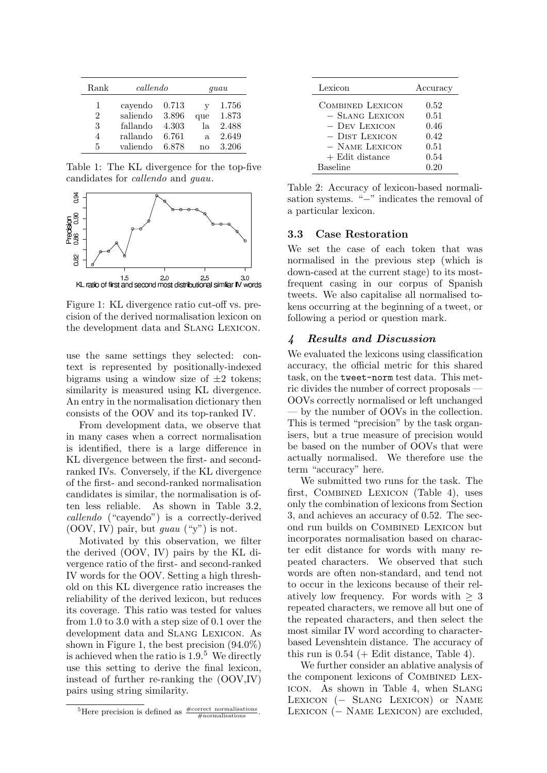| Rank          | callendo |       | quau |       |
|---------------|----------|-------|------|-------|
| 1             | cayendo  | 0.713 | v    | 1.756 |
| $\mathcal{D}$ | saliendo | 3.896 | que  | 1.873 |
| 3             | fallando | 4.303 | la   | 2.488 |
| 4             | rallando | 6.761 | a.   | 2.649 |
| 5             | valiendo | 6.878 | nο   | 3.206 |

Table 1: The KL divergence for the top-five candidates for *callendo* and *guau*.



Figure 1: KL divergence ratio cut-off vs. precision of the derived normalisation lexicon on the development data and Slang Lexicon.

use the same settings they selected: context is represented by positionally-indexed bigrams using a window size of *±*2 tokens; similarity is measured using KL divergence. An entry in the normalisation dictionary then consists of the OOV and its top-ranked IV.

From development data, we observe that in many cases when a correct normalisation is identified, there is a large difference in KL divergence between the first- and secondranked IVs. Conversely, if the KL divergence of the first- and second-ranked normalisation candidates is similar, the normalisation is often less reliable. As shown in Table 3.2, *callendo* ("cayendo") is a correctly-derived (OOV, IV) pair, but *guau* ("y") is not.

Motivated by this observation, we filter the derived (OOV, IV) pairs by the KL divergence ratio of the first- and second-ranked IV words for the OOV. Setting a high threshold on this KL divergence ratio increases the reliability of the derived lexicon, but reduces its coverage. This ratio was tested for values from 1.0 to 3.0 with a step size of 0.1 over the development data and Slang Lexicon. As shown in Figure 1, the best precision (94.0%) is achieved when the ratio is 1.9.<sup>5</sup> We directly use this setting to derive the final lexicon, instead of further re-ranking the (OOV,IV) pairs using string similarity.

| Lexicon           | Accuracy |
|-------------------|----------|
| COMBINED LEXICON  | 0.52     |
| - SLANG LEXICON   | 0.51     |
| - Dev Lexicon     | 0.46     |
| - DIST LEXICON    | 0.42     |
| $-$ NAME LEXICON  | 0.51     |
| $+$ Edit distance | 0.54     |
| <b>Baseline</b>   | 0.20     |

Table 2: Accuracy of lexicon-based normalisation systems. "*−*" indicates the removal of a particular lexicon.

#### **3.3 Case Restoration**

We set the case of each token that was normalised in the previous step (which is down-cased at the current stage) to its mostfrequent casing in our corpus of Spanish tweets. We also capitalise all normalised tokens occurring at the beginning of a tweet, or following a period or question mark.

#### *4 Results and Discussion*

We evaluated the lexicons using classification accuracy, the official metric for this shared task, on the tweet-norm test data. This metric divides the number of correct proposals — OOVs correctly normalised or left unchanged — by the number of OOVs in the collection. This is termed "precision" by the task organisers, but a true measure of precision would be based on the number of OOVs that were actually normalised. We therefore use the term "accuracy" here.

We submitted two runs for the task. The first, Combined Lexicon (Table 4), uses only the combination of lexicons from Section 3, and achieves an accuracy of 0.52. The second run builds on Combined Lexicon but incorporates normalisation based on character edit distance for words with many repeated characters. We observed that such words are often non-standard, and tend not to occur in the lexicons because of their relatively low frequency. For words with  $\geq 3$ repeated characters, we remove all but one of the repeated characters, and then select the most similar IV word according to characterbased Levenshtein distance. The accuracy of this run is  $0.54$  (+ Edit distance, Table 4).

We further consider an ablative analysis of the component lexicons of Combined Lexicon. As shown in Table 4, when Slang Lexicon (*<sup>−</sup>* Slang Lexicon) or Name Lexicon (*<sup>−</sup>* Name Lexicon) are excluded,

<sup>&</sup>lt;sup>5</sup>Here precision is defined as  $\frac{\text{\#correct normalisations}}{\text{\#normalisations}}$ .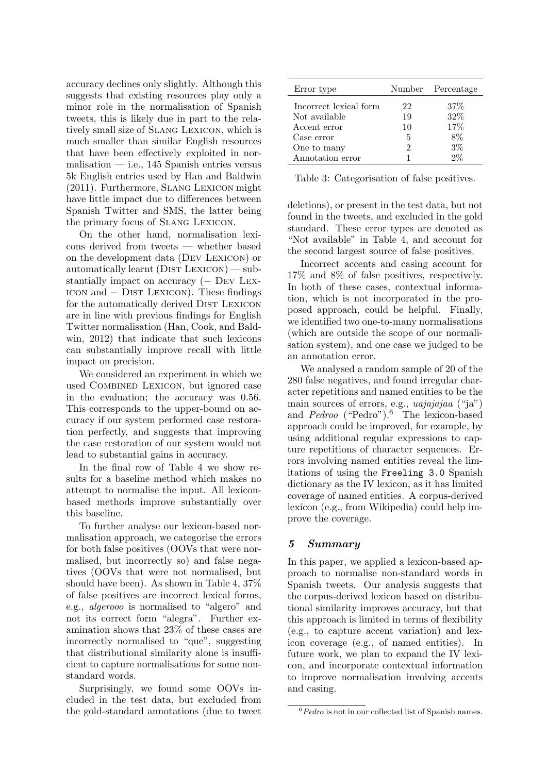accuracy declines only slightly. Although this suggests that existing resources play only a minor role in the normalisation of Spanish tweets, this is likely due in part to the relatively small size of Slang Lexicon, which is much smaller than similar English resources that have been effectively exploited in normalisation — i.e.,  $145$  Spanish entries versus 5k English entries used by Han and Baldwin (2011). Furthermore, Slang Lexicon might have little impact due to differences between Spanish Twitter and SMS, the latter being the primary focus of Slang Lexicon.

On the other hand, normalisation lexicons derived from tweets — whether based on the development data (Dev Lexicon) or automatically learnt  $(DIST$  LEXICON $)$  — substantially impact on accuracy (*<sup>−</sup>* Dev Lexicon and *<sup>−</sup>* Dist Lexicon). These findings for the automatically derived DIST LEXICON are in line with previous findings for English Twitter normalisation (Han, Cook, and Baldwin, 2012) that indicate that such lexicons can substantially improve recall with little impact on precision.

We considered an experiment in which we used Combined Lexicon, but ignored case in the evaluation; the accuracy was 0.56. This corresponds to the upper-bound on accuracy if our system performed case restoration perfectly, and suggests that improving the case restoration of our system would not lead to substantial gains in accuracy.

In the final row of Table 4 we show results for a baseline method which makes no attempt to normalise the input. All lexiconbased methods improve substantially over this baseline.

To further analyse our lexicon-based normalisation approach, we categorise the errors for both false positives (OOVs that were normalised, but incorrectly so) and false negatives (OOVs that were not normalised, but should have been). As shown in Table 4, 37% of false positives are incorrect lexical forms, e.g., *algerooo* is normalised to "algero" and not its correct form "alegra". Further examination shows that 23% of these cases are incorrectly normalised to "que", suggesting that distributional similarity alone is insufficient to capture normalisations for some nonstandard words.

Surprisingly, we found some OOVs included in the test data, but excluded from the gold-standard annotations (due to tweet

| Error type             |    | Number Percentage |
|------------------------|----|-------------------|
| Incorrect lexical form | 22 | 37%               |
| Not available          | 19 | 32\%              |
| Accent error           | 10 | 17%               |
| Case error             | 5  | 8%                |
| One to many            | 2  | $3\%$             |
| Annotation error       |    | $2\%$             |

Table 3: Categorisation of false positives.

deletions), or present in the test data, but not found in the tweets, and excluded in the gold standard. These error types are denoted as "Not available" in Table 4, and account for the second largest source of false positives.

Incorrect accents and casing account for 17% and 8% of false positives, respectively. In both of these cases, contextual information, which is not incorporated in the proposed approach, could be helpful. Finally, we identified two one-to-many normalisations (which are outside the scope of our normalisation system), and one case we judged to be an annotation error.

We analysed a random sample of 20 of the 280 false negatives, and found irregular character repetitions and named entities to be the main sources of errors, e.g., *uajajajaa* ("ja") and *Pedroo* ("Pedro").<sup>6</sup> The lexicon-based approach could be improved, for example, by using additional regular expressions to capture repetitions of character sequences. Errors involving named entities reveal the limitations of using the Freeling 3.0 Spanish dictionary as the IV lexicon, as it has limited coverage of named entities. A corpus-derived lexicon (e.g., from Wikipedia) could help improve the coverage.

### *5 Summary*

In this paper, we applied a lexicon-based approach to normalise non-standard words in Spanish tweets. Our analysis suggests that the corpus-derived lexicon based on distributional similarity improves accuracy, but that this approach is limited in terms of flexibility (e.g., to capture accent variation) and lexicon coverage (e.g., of named entities). In future work, we plan to expand the IV lexicon, and incorporate contextual information to improve normalisation involving accents and casing.

<sup>6</sup>*Pedro* is not in our collected list of Spanish names.